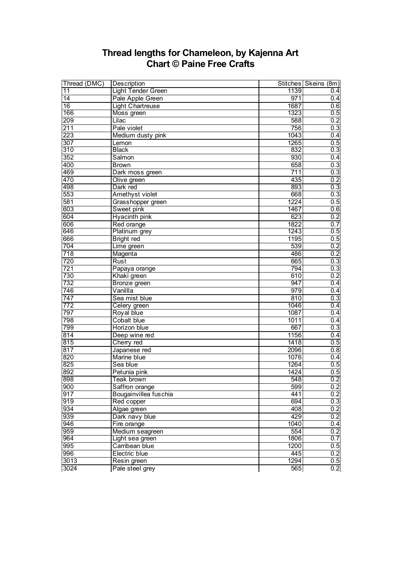## **Thread lengths for Chameleon, by Kajenna Art Chart © Paine Free Crafts**

| Thread (DMC) | Description               |      | Stitches Skeins (8m) |
|--------------|---------------------------|------|----------------------|
| 11           | <b>Light Tender Green</b> | 1139 | 0.4                  |
| 14           | Pale Apple Green          | 971  | 0.4                  |
| 16           | <b>Light Chartreuse</b>   | 1687 | 0.6                  |
| 166          | Moss green                | 1323 | 0.5                  |
| 209          | Lilac                     | 588  | 0.2                  |
| 211          | Pale violet               | 756  | 0.3                  |
| 223          | Medium dusty pink         | 1043 | 0.4                  |
| 307          | Lemon                     | 1265 | 0.5                  |
| 310          | <b>Black</b>              | 832  | 0.3                  |
| 352          | Salmon                    | 930  | 0.4                  |
| 400          | <b>Brown</b>              | 658  | 0.3                  |
| 469          | Dark moss green           | 711  | 0.3                  |
| 470          | Olive green               | 435  | 0.2                  |
| 498          | Dark red                  | 893  | 0.3                  |
| 553          | <b>Amethyst violet</b>    | 668  | 0.3                  |
| 581          | Grasshopper green         | 1224 | 0.5                  |
| 603          | Sweet pink                | 1467 | 0.6                  |
| 604          | Hyacinth pink             | 623  | 0.2                  |
| 606          | Red orange                | 1822 | 0.7                  |
| 646          | Platinum grey             | 1243 | 0.5                  |
| 666          | Bright red                | 1195 | 0.5                  |
| 704          | Lime green                | 539  | 0.2                  |
| 718          | Magenta                   | 486  | 0.2                  |
| 720          | Rust                      | 665  | 0.3                  |
| 721          | Papaya orange             | 794  | 0.3                  |
| 730          | Khaki green               | 610  | 0.2                  |
| 732          | Bronze green              | 947  | 0.4                  |
| 746          | Vanillla                  | 979  | 0.4                  |
| 747          | Sea mist blue             | 810  | 0.3                  |
| 772          | Celery green              | 1046 | 0.4                  |
| 797          | Royal blue                | 1087 | 0.4                  |
| 798          | <b>Cobalt blue</b>        | 1011 | 0.4                  |
| 799          | Horizon blue              | 667  | 0.3                  |
| 814          | Deep wine red             | 1156 | 0.4                  |
| 815          | Cherry red                | 1418 | 0.5                  |
| 817          | Japanese red              | 2096 | 0.8                  |
| 820          | Marine blue               | 1076 | 0.4                  |
| 825          | Sea blue                  | 1264 | 0.5                  |
| 892          | Petunia pink              | 1424 | 0.5                  |
| 898          | Teak brown                | 548  | 0.2                  |
| 900          | Saffron orange            | 599  | 0.2                  |
| 917          | Bougainvillea fuschia     | 441  | 0.2                  |
| 919          | Red copper                | 694  | 0.3                  |
| 934          | Algae green               | 408  | 0.2                  |
| 939          | Dark navy blue            | 429  | 0.2                  |
| 946          | Fire orange               | 1040 | 0.4                  |
| 959          | Medium seagreen           | 554  | 0.2                  |
| 964          | Light sea green           | 1806 | 0.7                  |
| 995          | Carribean blue            | 1200 | 0.5                  |
| 996          | Electric blue             | 445  | 0.2                  |
| 3013         | Resin green               | 1294 | 0.5                  |
| 3024         | Pale steel grey           | 565  | 0.2                  |